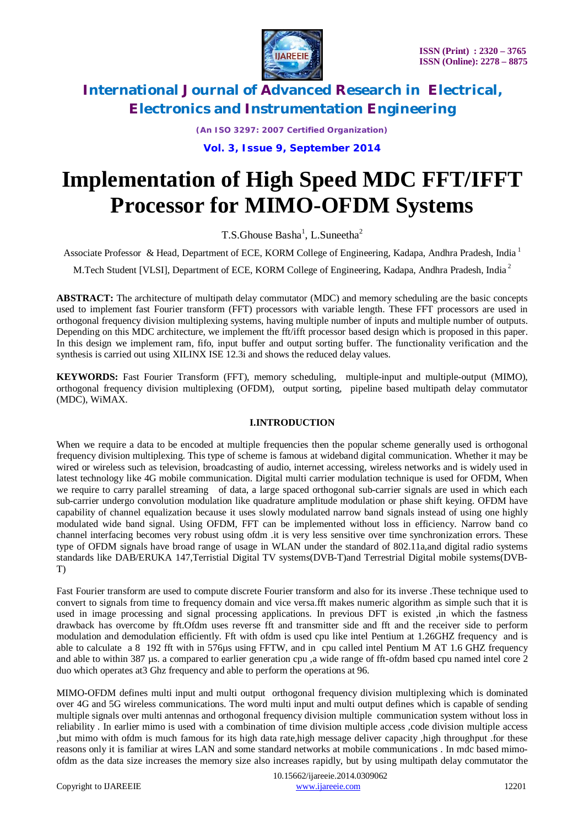

*(An ISO 3297: 2007 Certified Organization)*

**Vol. 3, Issue 9, September 2014**

# **Implementation of High Speed MDC FFT/IFFT Processor for MIMO-OFDM Systems**

T.S.Ghouse Basha<sup>1</sup>, L.Suneetha<sup>2</sup>

Associate Professor & Head, Department of ECE, KORM College of Engineering, Kadapa, Andhra Pradesh, India <sup>1</sup>

M.Tech Student [VLSI], Department of ECE, KORM College of Engineering, Kadapa, Andhra Pradesh, India <sup>2</sup>

**ABSTRACT:** The architecture of multipath delay commutator (MDC) and memory scheduling are the basic concepts used to implement fast Fourier transform (FFT) processors with variable length. These FFT processors are used in orthogonal frequency division multiplexing systems, having multiple number of inputs and multiple number of outputs. Depending on this MDC architecture, we implement the fft/ifft processor based design which is proposed in this paper. In this design we implement ram, fifo, input buffer and output sorting buffer. The functionality verification and the synthesis is carried out using XILINX ISE 12.3i and shows the reduced delay values.

**KEYWORDS:** Fast Fourier Transform (FFT), memory scheduling, multiple-input and multiple-output (MIMO), orthogonal frequency division multiplexing (OFDM), output sorting, pipeline based multipath delay commutator (MDC), WiMAX.

### **I.INTRODUCTION**

When we require a data to be encoded at multiple frequencies then the popular scheme generally used is orthogonal frequency division multiplexing. This type of scheme is famous at wideband digital communication. Whether it may be wired or wireless such as television, broadcasting of audio, internet accessing, wireless networks and is widely used in latest technology like 4G mobile communication. Digital multi carrier modulation technique is used for OFDM, When we require to carry parallel streaming of data, a large spaced orthogonal sub-carrier signals are used in which each sub-carrier undergo convolution modulation like quadrature amplitude modulation or phase shift keying. OFDM have capability of channel equalization because it uses slowly modulated narrow band signals instead of using one highly modulated wide band signal. Using OFDM, FFT can be implemented without loss in efficiency. Narrow band co channel interfacing becomes very robust using ofdm .it is very less sensitive over time synchronization errors. These type of OFDM signals have broad range of usage in WLAN under the standard of 802.11a,and digital radio systems standards like DAB/ERUKA 147,Terristial Digital TV systems(DVB-T)and Terrestrial Digital mobile systems(DVB-T)

Fast Fourier transform are used to compute discrete Fourier transform and also for its inverse .These technique used to convert to signals from time to frequency domain and vice versa.fft makes numeric algorithm as simple such that it is used in image processing and signal processing applications. In previous DFT is existed ,in which the fastness drawback has overcome by fft.Ofdm uses reverse fft and transmitter side and fft and the receiver side to perform modulation and demodulation efficiently. Fft with ofdm is used cpu like intel Pentium at 1.26GHZ frequency and is able to calculate a 8 192 fft with in 576µs using FFTW, and in cpu called intel Pentium M AT 1.6 GHZ frequency and able to within 387 µs. a compared to earlier generation cpu, a wide range of fft-ofdm based cpu named intel core 2 duo which operates at3 Ghz frequency and able to perform the operations at 96.

MIMO-OFDM defines multi input and multi output orthogonal frequency division multiplexing which is dominated over 4G and 5G wireless communications. The word multi input and multi output defines which is capable of sending multiple signals over multi antennas and orthogonal frequency division multiple communication system without loss in reliability . In earlier mimo is used with a combination of time division multiple access ,code division multiple access ,but mimo with ofdm is much famous for its high data rate,high message deliver capacity ,high throughput .for these reasons only it is familiar at wires LAN and some standard networks at mobile communications . In mdc based mimoofdm as the data size increases the memory size also increases rapidly, but by using multipath delay commutator the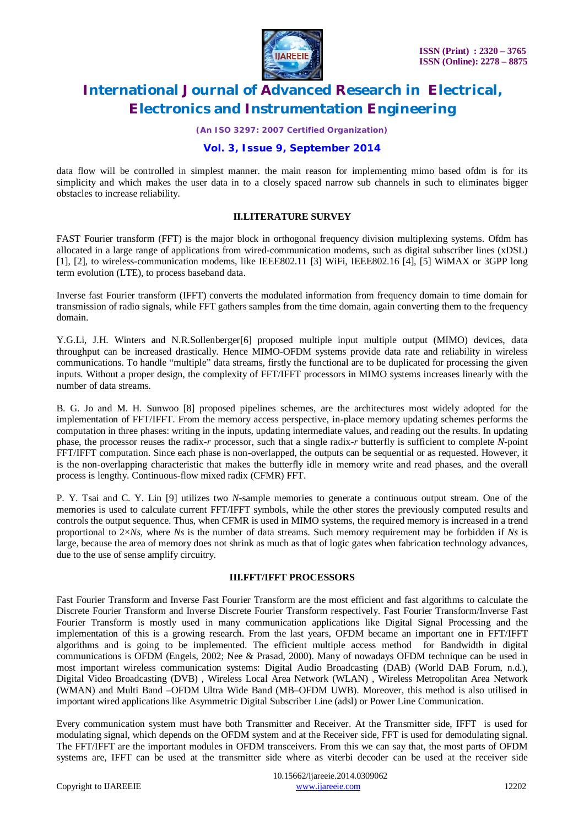

*(An ISO 3297: 2007 Certified Organization)*

### **Vol. 3, Issue 9, September 2014**

data flow will be controlled in simplest manner. the main reason for implementing mimo based ofdm is for its simplicity and which makes the user data in to a closely spaced narrow sub channels in such to eliminates bigger obstacles to increase reliability.

#### **II.LITERATURE SURVEY**

FAST Fourier transform (FFT) is the major block in orthogonal frequency division multiplexing systems. Ofdm has allocated in a large range of applications from wired-communication modems, such as digital subscriber lines (xDSL) [1], [2], to wireless-communication modems, like IEEE802.11 [3] WiFi, IEEE802.16 [4], [5] WiMAX or 3GPP long term evolution (LTE), to process baseband data.

Inverse fast Fourier transform (IFFT) converts the modulated information from frequency domain to time domain for transmission of radio signals, while FFT gathers samples from the time domain, again converting them to the frequency domain.

Y.G.Li, J.H. Winters and N.R.Sollenberger[6] proposed multiple input multiple output (MIMO) devices, data throughput can be increased drastically. Hence MIMO-OFDM systems provide data rate and reliability in wireless communications. To handle "multiple" data streams, firstly the functional are to be duplicated for processing the given inputs. Without a proper design, the complexity of FFT/IFFT processors in MIMO systems increases linearly with the number of data streams.

B. G. Jo and M. H. Sunwoo [8] proposed pipelines schemes, are the architectures most widely adopted for the implementation of FFT/IFFT. From the memory access perspective, in-place memory updating schemes performs the computation in three phases: writing in the inputs, updating intermediate values, and reading out the results. In updating phase, the processor reuses the radix-*r* processor, such that a single radix-*r* butterfly is sufficient to complete *N*-point FFT/IFFT computation. Since each phase is non-overlapped, the outputs can be sequential or as requested. However, it is the non-overlapping characteristic that makes the butterfly idle in memory write and read phases, and the overall process is lengthy. Continuous-flow mixed radix (CFMR) FFT.

P. Y. Tsai and C. Y. Lin [9] utilizes two *N*-sample memories to generate a continuous output stream. One of the memories is used to calculate current FFT/IFFT symbols, while the other stores the previously computed results and controls the output sequence. Thus, when CFMR is used in MIMO systems, the required memory is increased in a trend proportional to 2×*Ns*, where *Ns* is the number of data streams. Such memory requirement may be forbidden if *Ns* is large, because the area of memory does not shrink as much as that of logic gates when fabrication technology advances, due to the use of sense amplify circuitry.

#### **III.FFT/IFFT PROCESSORS**

Fast Fourier Transform and Inverse Fast Fourier Transform are the most efficient and fast algorithms to calculate the Discrete Fourier Transform and Inverse Discrete Fourier Transform respectively. Fast Fourier Transform/Inverse Fast Fourier Transform is mostly used in many communication applications like Digital Signal Processing and the implementation of this is a growing research. From the last years, OFDM became an important one in FFT/IFFT algorithms and is going to be implemented. The efficient multiple access method for Bandwidth in digital communications is OFDM (Engels, 2002; Nee & Prasad, 2000). Many of nowadays OFDM technique can be used in most important wireless communication systems: Digital Audio Broadcasting (DAB) (World DAB Forum, n.d.), Digital Video Broadcasting (DVB) , Wireless Local Area Network (WLAN) , Wireless Metropolitan Area Network (WMAN) and Multi Band –OFDM Ultra Wide Band (MB–OFDM UWB). Moreover, this method is also utilised in important wired applications like Asymmetric Digital Subscriber Line (adsl) or Power Line Communication.

Every communication system must have both Transmitter and Receiver. At the Transmitter side, IFFT is used for modulating signal, which depends on the OFDM system and at the Receiver side, FFT is used for demodulating signal. The FFT/IFFT are the important modules in OFDM transceivers. From this we can say that, the most parts of OFDM systems are, IFFT can be used at the transmitter side where as viterbi decoder can be used at the receiver side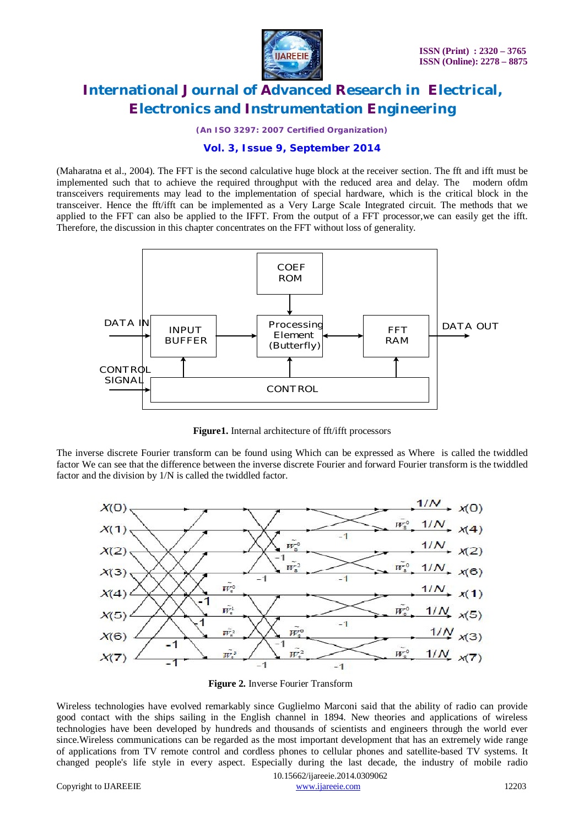

*(An ISO 3297: 2007 Certified Organization)*

### **Vol. 3, Issue 9, September 2014**

(Maharatna et al., 2004). The FFT is the second calculative huge block at the receiver section. The fft and ifft must be implemented such that to achieve the required throughput with the reduced area and delay. The modern ofdm transceivers requirements may lead to the implementation of special hardware, which is the critical block in the transceiver. Hence the fft/ifft can be implemented as a Very Large Scale Integrated circuit. The methods that we applied to the FFT can also be applied to the IFFT. From the output of a FFT processor,we can easily get the ifft. Therefore, the discussion in this chapter concentrates on the FFT without loss of generality.



**Figure1.** Internal architecture of fft/ifft processors

The inverse discrete Fourier transform can be found using Which can be expressed as Where is called the twiddled factor We can see that the difference between the inverse discrete Fourier and forward Fourier transform is the twiddled factor and the division by 1/N is called the twiddled factor.



**Figure 2.** Inverse Fourier Transform

Wireless technologies have evolved remarkably since Guglielmo Marconi said that the ability of radio can provide good contact with the ships sailing in the English channel in 1894. New theories and applications of wireless technologies have been developed by hundreds and thousands of scientists and engineers through the world ever since.Wireless communications can be regarded as the most important development that has an extremely wide range of applications from TV remote control and cordless phones to cellular phones and satellite-based TV systems. It changed people's life style in every aspect. Especially during the last decade, the industry of mobile radio

 10.15662/ijareeie.2014.0309062 Copyright to IJAREEIE www.ijareeie.com 12203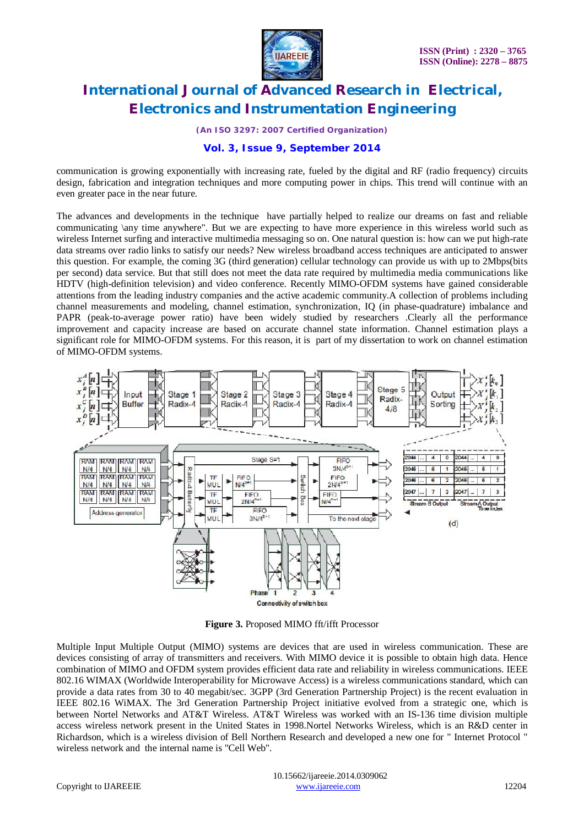

*(An ISO 3297: 2007 Certified Organization)*

### **Vol. 3, Issue 9, September 2014**

communication is growing exponentially with increasing rate, fueled by the digital and RF (radio frequency) circuits design, fabrication and integration techniques and more computing power in chips. This trend will continue with an even greater pace in the near future.

The advances and developments in the technique have partially helped to realize our dreams on fast and reliable communicating \any time anywhere". But we are expecting to have more experience in this wireless world such as wireless Internet surfing and interactive multimedia messaging so on. One natural question is: how can we put high-rate data streams over radio links to satisfy our needs? New wireless broadband access techniques are anticipated to answer this question. For example, the coming 3G (third generation) cellular technology can provide us with up to 2Mbps(bits per second) data service. But that still does not meet the data rate required by multimedia media communications like HDTV (high-definition television) and video conference. Recently MIMO-OFDM systems have gained considerable attentions from the leading industry companies and the active academic community.A collection of problems including channel measurements and modeling, channel estimation, synchronization, IQ (in phase-quadrature) imbalance and PAPR (peak-to-average power ratio) have been widely studied by researchers .Clearly all the performance improvement and capacity increase are based on accurate channel state information. Channel estimation plays a significant role for MIMO-OFDM systems. For this reason, it is part of my dissertation to work on channel estimation of MIMO-OFDM systems.



**Figure 3.** Proposed MIMO fft/ifft Processor

Multiple Input Multiple Output (MIMO) systems are devices that are used in wireless communication. These are devices consisting of array of transmitters and receivers. With MIMO device it is possible to obtain high data. Hence combination of MIMO and OFDM system provides efficient data rate and reliability in wireless communications. IEEE 802.16 WIMAX (Worldwide Interoperability for Microwave Access) is a wireless communications standard, which can provide a data rates from 30 to 40 megabit/sec. 3GPP (3rd Generation Partnership Project) is the recent evaluation in IEEE 802.16 WiMAX. The 3rd Generation Partnership Project initiative evolved from a strategic one, which is between Nortel Networks and AT&T Wireless. AT&T Wireless was worked with an IS-136 time division multiple access wireless network present in the United States in 1998.Nortel Networks Wireless, which is an R&D center in Richardson, which is a wireless division of Bell Northern Research and developed a new one for " Internet Protocol " wireless network and the internal name is "Cell Web".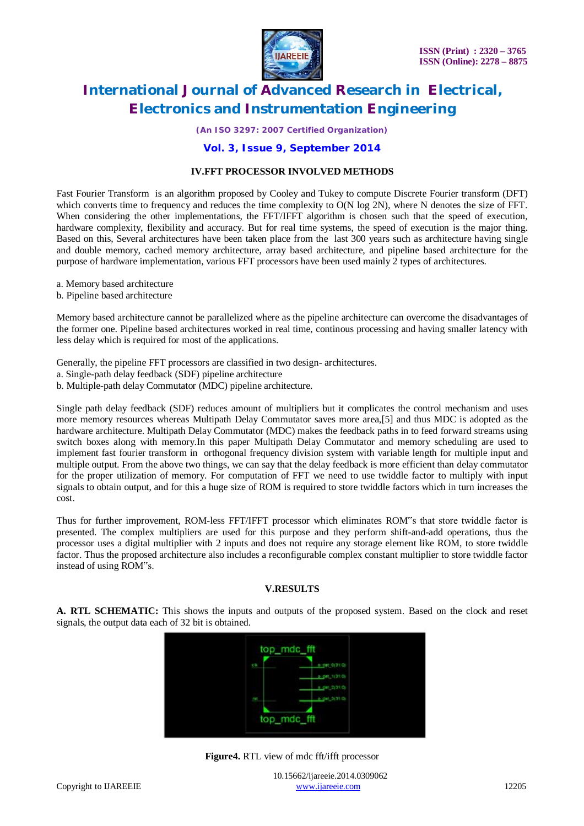

*(An ISO 3297: 2007 Certified Organization)*

### **Vol. 3, Issue 9, September 2014**

#### **IV.FFT PROCESSOR INVOLVED METHODS**

Fast Fourier Transform is an algorithm proposed by Cooley and Tukey to compute Discrete Fourier transform (DFT) which converts time to frequency and reduces the time complexity to O(N log 2N), where N denotes the size of FFT. When considering the other implementations, the FFT/IFFT algorithm is chosen such that the speed of execution, hardware complexity, flexibility and accuracy. But for real time systems, the speed of execution is the major thing. Based on this, Several architectures have been taken place from the last 300 years such as architecture having single and double memory, cached memory architecture, array based architecture, and pipeline based architecture for the purpose of hardware implementation, various FFT processors have been used mainly 2 types of architectures.

- a. Memory based architecture
- b. Pipeline based architecture

Memory based architecture cannot be parallelized where as the pipeline architecture can overcome the disadvantages of the former one. Pipeline based architectures worked in real time, continous processing and having smaller latency with less delay which is required for most of the applications.

Generally, the pipeline FFT processors are classified in two design- architectures.

a. Single-path delay feedback (SDF) pipeline architecture

b. Multiple-path delay Commutator (MDC) pipeline architecture.

Single path delay feedback (SDF) reduces amount of multipliers but it complicates the control mechanism and uses more memory resources whereas Multipath Delay Commutator saves more area,[5] and thus MDC is adopted as the hardware architecture. Multipath Delay Commutator (MDC) makes the feedback paths in to feed forward streams using switch boxes along with memory.In this paper Multipath Delay Commutator and memory scheduling are used to implement fast fourier transform in orthogonal frequency division system with variable length for multiple input and multiple output. From the above two things, we can say that the delay feedback is more efficient than delay commutator for the proper utilization of memory. For computation of FFT we need to use twiddle factor to multiply with input signals to obtain output, and for this a huge size of ROM is required to store twiddle factors which in turn increases the cost.

Thus for further improvement, ROM-less FFT/IFFT processor which eliminates ROM"s that store twiddle factor is presented. The complex multipliers are used for this purpose and they perform shift-and-add operations, thus the processor uses a digital multiplier with 2 inputs and does not require any storage element like ROM, to store twiddle factor. Thus the proposed architecture also includes a reconfigurable complex constant multiplier to store twiddle factor instead of using ROM"s.

#### **V.RESULTS**

**A. RTL SCHEMATIC:** This shows the inputs and outputs of the proposed system. Based on the clock and reset signals, the output data each of 32 bit is obtained.



**Figure4.** RTL view of mdc fft/ifft processor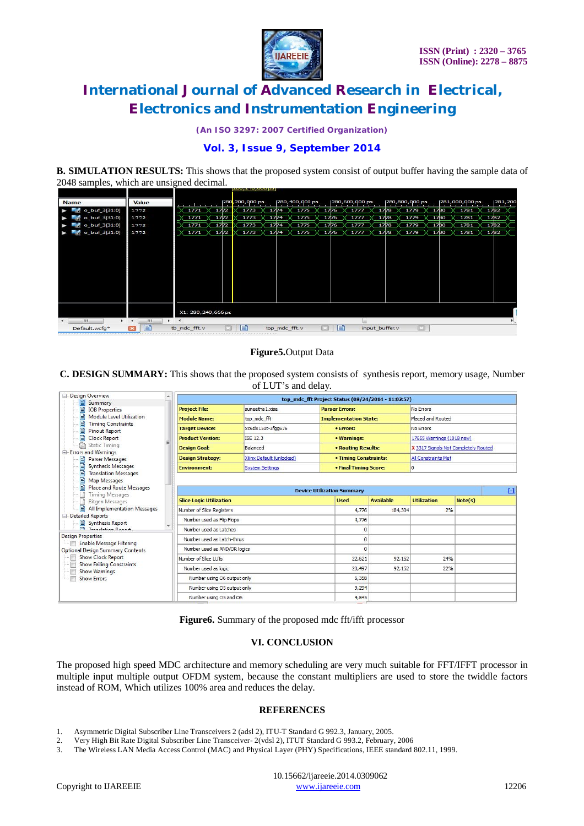

*(An ISO 3297: 2007 Certified Organization)*

### **Vol. 3, Issue 9, September 2014**

**B. SIMULATION RESULTS:** This shows that the proposed system consist of output buffer having the sample data of 2048 samples, which are unsigned decimal.

| <b>Name</b>                  | Value |                      | 280,200,000 ps<br>280,400,000 ps<br>280,800,000 ps<br>281,000,000 ps<br>281,200<br>280,600,000 ps |
|------------------------------|-------|----------------------|---------------------------------------------------------------------------------------------------|
| o_buf_3[31:0]<br><b>Tags</b> | 1772  | 1771<br>1772         | 1773<br>1775<br>1779<br>1781<br>1774<br>1776<br>1777<br>1782<br>17/8<br>1780                      |
| o_buf_3[31:0]<br>a.          | 1772  | 1771<br>1772         | 1779<br>-1782<br>1773<br>1775<br>1777<br>1778<br>1781<br>1774<br>1776<br>1780                     |
| o_buf_3[31:0]<br>e.          | 1772  | 1771<br>1772         | 1773<br>1775<br>1777<br>1779<br>1781<br>1782<br>1774<br>1776<br>1778<br>1780                      |
| o_buf_3[31:0]<br>ь.          | 1772  | 1771<br>1772         | 1773<br>1774<br>1775<br>1777<br>1779<br>1781<br>$\times$ 1782<br>1776<br>1778<br>1780             |
|                              |       |                      |                                                                                                   |
|                              |       |                      |                                                                                                   |
|                              |       |                      |                                                                                                   |
|                              |       | X1: 280, 240, 666 ps |                                                                                                   |
| m<br>$\mathbb{R}$            | m     | $+$ $+$              |                                                                                                   |
| Default.wcfg*                | E     | tb_mdc_fft.v         | E<br>e<br>図<br>input buffer.v<br>top_mdc_fft.v                                                    |

#### **Figure5.**Output Data

**C. DESIGN SUMMARY:** This shows that the proposed system consists of synthesis report, memory usage, Number of LUT's and delay.

| Design Overview                                                            |                                         |                           | top mdc fft Project Status (08/24/2014 - 11:02:57) |                  |                                      |         |  |  |
|----------------------------------------------------------------------------|-----------------------------------------|---------------------------|----------------------------------------------------|------------------|--------------------------------------|---------|--|--|
| Summary<br>ΞĪ<br>E)<br><b>IOB</b> Properties                               | <b>Project File:</b>                    | suneetha 1.xise           | <b>Parser Errors:</b>                              |                  | No Errors                            |         |  |  |
| Eì<br>Module Level Utilization                                             | <b>Module Name:</b>                     | top mdc fft               | <b>Implementation State:</b>                       |                  | Placed and Routed                    |         |  |  |
| B<br><b>Timing Constraints</b><br>E<br><b>Pinout Report</b>                | <b>Target Device:</b>                   | xc6slx150t-3fgg676        | • Errors:                                          |                  | No Errors                            |         |  |  |
| Eì<br><b>Clock Report</b>                                                  | <b>Product Version:</b>                 | ISE 12.3                  | • Warnings:                                        |                  | 17655 Warnings (1018 new)            |         |  |  |
| <b>Static Timing</b><br>33                                                 | <b>Design Goal:</b>                     | Balanced                  | • Routing Results:                                 |                  | X 3317 Signals Not Completely Routed |         |  |  |
| Errors and Warnings<br>B<br><b>Parser Messages</b>                         | <b>Design Strategy:</b>                 | Xilinx Default (unlocked) | • Timing Constraints:                              |                  | All Constraints Met                  |         |  |  |
| B<br>Synthesis Messages                                                    | <b>Environment:</b>                     | <b>System Settings</b>    | • Final Timing Score:                              |                  | I٥                                   |         |  |  |
| E<br><b>Translation Messages</b><br>E<br>Map Messages                      |                                         |                           |                                                    |                  |                                      |         |  |  |
| E<br><b>Place and Route Messages</b><br><b>Timing Messages</b>             | L1<br><b>Device Utilization Summary</b> |                           |                                                    |                  |                                      |         |  |  |
| <b>Bitgen Messages</b>                                                     | <b>Slice Logic Utilization</b>          |                           | <b>Used</b>                                        | <b>Available</b> | <b>Utilization</b>                   | Note(s) |  |  |
| Ð<br>All Implementation Messages                                           | Number of Slice Registers               | 4,776                     | 184,304                                            | 2%               |                                      |         |  |  |
| <b>E</b> - Detailed Reports<br>Synthesis Report                            | Number used as Flip Flops               | 4,776                     |                                                    |                  |                                      |         |  |  |
| <b>ER</b> Transfering Banner                                               | Number used as Latches                  | $\Omega$                  |                                                    |                  |                                      |         |  |  |
| <b>Design Properties</b>                                                   | Number used as Latch-thrus              |                           | $\overline{0}$                                     |                  |                                      |         |  |  |
| <b>Enable Message Filtering</b><br><b>Optional Design Summary Contents</b> | Number used as AND/OR logics            | n                         |                                                    |                  |                                      |         |  |  |
| <b>Show Clock Report</b>                                                   | Number of Slice LLITs                   |                           | 22,621                                             | 92,152           | 24%                                  |         |  |  |
| <b>Show Failing Constraints</b><br>F<br><b>Show Warnings</b>               | Number used as logic                    |                           | 20,497                                             | 92,152           | 22%                                  |         |  |  |
| $\blacksquare$<br><b>Show Errors</b>                                       | Number using O6 output only             |                           | 6,358                                              |                  |                                      |         |  |  |
|                                                                            | Number using O5 output only             |                           | 9,294                                              |                  |                                      |         |  |  |
|                                                                            | Number using O5 and O6                  |                           | 4,845                                              |                  |                                      |         |  |  |

**Figure6.** Summary of the proposed mdc fft/ifft processor

### **VI. CONCLUSION**

The proposed high speed MDC architecture and memory scheduling are very much suitable for FFT/IFFT processor in multiple input multiple output OFDM system, because the constant multipliers are used to store the twiddle factors instead of ROM, Which utilizes 100% area and reduces the delay.

#### **REFERENCES**

- 1. Asymmetric Digital Subscriber Line Transceivers 2 (adsl 2), ITU-T Standard G 992.3, January, 2005.
- 2. Very High Bit Rate Digital Subscriber Line Transceiver- 2(vdsl 2), ITUT Standard G 993.2, February, 2006
- 3. The Wireless LAN Media Access Control (MAC) and Physical Layer (PHY) Specifications, IEEE standard 802.11, 1999.